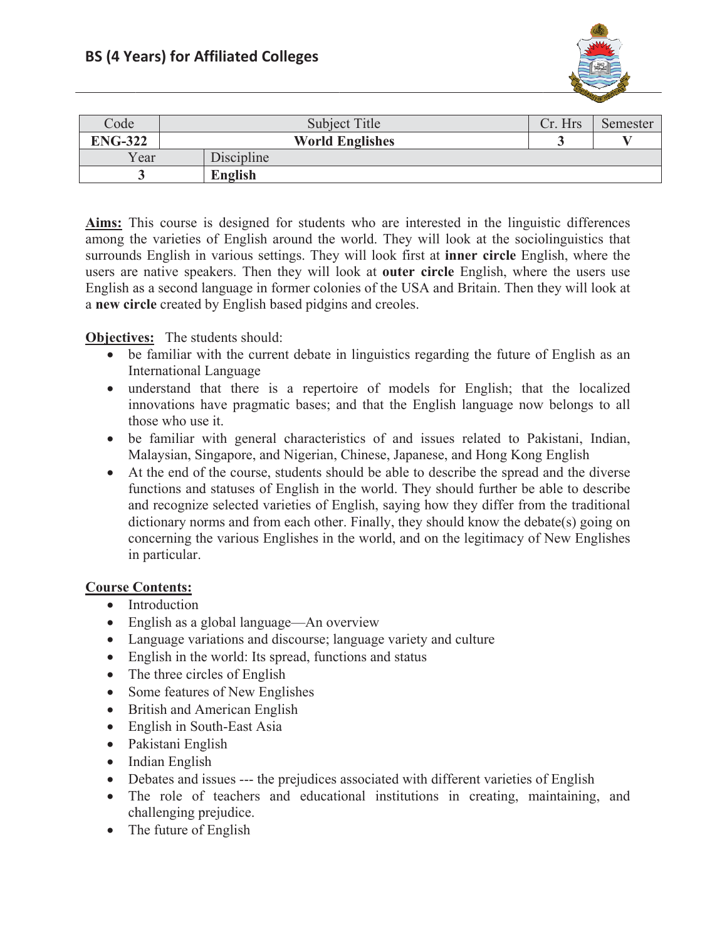

| Code           | Subject Title          |            | Cr. Hrs | Semester |
|----------------|------------------------|------------|---------|----------|
| <b>ENG-322</b> | <b>World Englishes</b> |            |         |          |
| Year           |                        | Discipline |         |          |
|                |                        | English    |         |          |

Aims: This course is designed for students who are interested in the linguistic differences among the varieties of English around the world. They will look at the sociolinguistics that surrounds English in various settings. They will look first at **inner circle** English, where the users are native speakers. Then they will look at **outer circle** English, where the users use English as a second language in former colonies of the USA and Britain. Then they will look at a new circle created by English based pidgins and creoles.

## **Objectives:** The students should:

- be familiar with the current debate in linguistics regarding the future of English as an **International Language**
- understand that there is a repertoire of models for English; that the localized innovations have pragmatic bases; and that the English language now belongs to all those who use it.
- be familiar with general characteristics of and issues related to Pakistani, Indian, Malaysian, Singapore, and Nigerian, Chinese, Japanese, and Hong Kong English
- At the end of the course, students should be able to describe the spread and the diverse functions and statuses of English in the world. They should further be able to describe and recognize selected varieties of English, saying how they differ from the traditional dictionary norms and from each other. Finally, they should know the debate(s) going on concerning the various Englishes in the world, and on the legitimacy of New Englishes in particular.

## **Course Contents:**

- Introduction
- English as a global language—An overview
- Language variations and discourse; language variety and culture
- English in the world: Its spread, functions and status
- $\bullet$  The three circles of English
- Some features of New Englishes
- British and American English
- English in South-East Asia
- Pakistani English
- $\bullet$  Indian English
- Debates and issues --- the prejudices associated with different varieties of English
- The role of teachers and educational institutions in creating, maintaining, and challenging prejudice.
- $\bullet$  The future of English